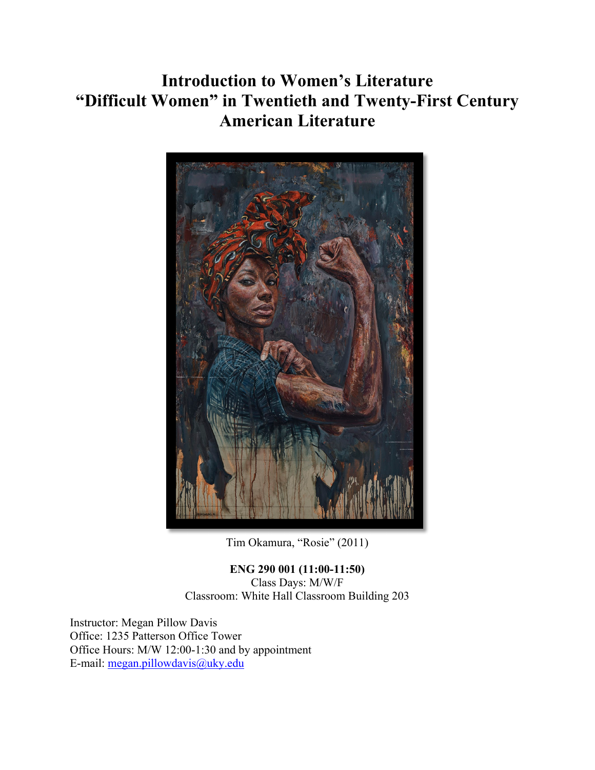# **Introduction to Women's Literature "Difficult Women" in Twentieth and Twenty-First Century American Literature**



Tim Okamura, "Rosie" (2011)

**ENG 290 001 (11:00-11:50)** Class Days: M/W/F Classroom: White Hall Classroom Building 203

Instructor: Megan Pillow Davis Office: 1235 Patterson Office Tower Office Hours: M/W 12:00-1:30 and by appointment E-mail: megan.pillowdavis@uky.edu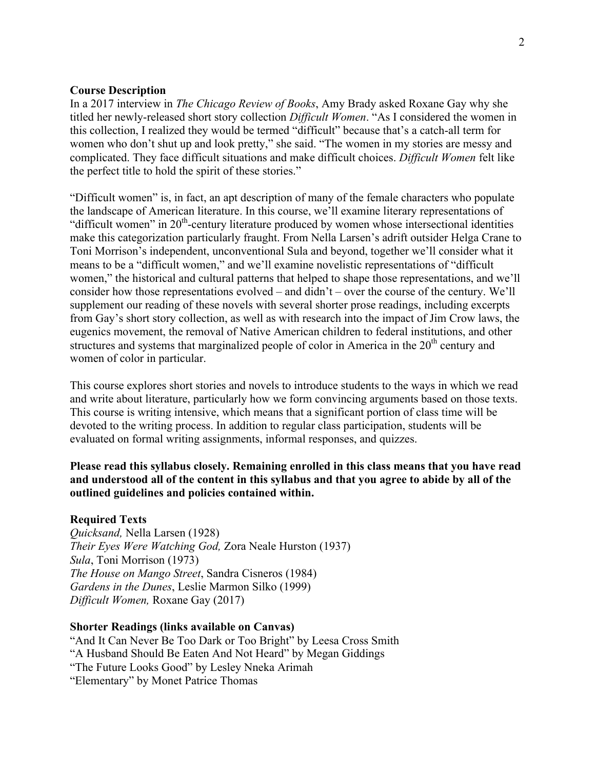### **Course Description**

In a 2017 interview in *The Chicago Review of Books*, Amy Brady asked Roxane Gay why she titled her newly-released short story collection *Difficult Women*. "As I considered the women in this collection, I realized they would be termed "difficult" because that's a catch-all term for women who don't shut up and look pretty," she said. "The women in my stories are messy and complicated. They face difficult situations and make difficult choices. *Difficult Women* felt like the perfect title to hold the spirit of these stories."

"Difficult women" is, in fact, an apt description of many of the female characters who populate the landscape of American literature. In this course, we'll examine literary representations of "difficult women" in 20<sup>th</sup>-century literature produced by women whose intersectional identities make this categorization particularly fraught. From Nella Larsen's adrift outsider Helga Crane to Toni Morrison's independent, unconventional Sula and beyond, together we'll consider what it means to be a "difficult women," and we'll examine novelistic representations of "difficult women," the historical and cultural patterns that helped to shape those representations, and we'll consider how those representations evolved – and didn't – over the course of the century. We'll supplement our reading of these novels with several shorter prose readings, including excerpts from Gay's short story collection, as well as with research into the impact of Jim Crow laws, the eugenics movement, the removal of Native American children to federal institutions, and other structures and systems that marginalized people of color in America in the 20<sup>th</sup> century and women of color in particular.

This course explores short stories and novels to introduce students to the ways in which we read and write about literature, particularly how we form convincing arguments based on those texts. This course is writing intensive, which means that a significant portion of class time will be devoted to the writing process. In addition to regular class participation, students will be evaluated on formal writing assignments, informal responses, and quizzes.

# **Please read this syllabus closely. Remaining enrolled in this class means that you have read and understood all of the content in this syllabus and that you agree to abide by all of the outlined guidelines and policies contained within.**

### **Required Texts**

*Quicksand,* Nella Larsen (1928) *Their Eyes Were Watching God,* Zora Neale Hurston (1937) *Sula*, Toni Morrison (1973) *The House on Mango Street*, Sandra Cisneros (1984) *Gardens in the Dunes*, Leslie Marmon Silko (1999) *Difficult Women,* Roxane Gay (2017)

### **Shorter Readings (links available on Canvas)**

"And It Can Never Be Too Dark or Too Bright" by Leesa Cross Smith "A Husband Should Be Eaten And Not Heard" by Megan Giddings "The Future Looks Good" by Lesley Nneka Arimah "Elementary" by Monet Patrice Thomas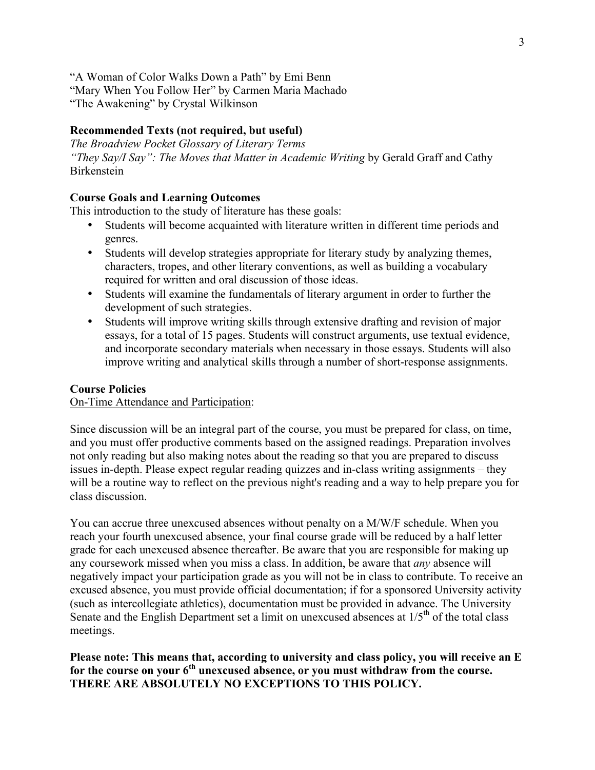"A Woman of Color Walks Down a Path" by Emi Benn "Mary When You Follow Her" by Carmen Maria Machado "The Awakening" by Crystal Wilkinson

# **Recommended Texts (not required, but useful)**

*The Broadview Pocket Glossary of Literary Terms "They Say/I Say": The Moves that Matter in Academic Writing by Gerald Graff and Cathy* Birkenstein

# **Course Goals and Learning Outcomes**

This introduction to the study of literature has these goals:

- Students will become acquainted with literature written in different time periods and genres.
- Students will develop strategies appropriate for literary study by analyzing themes, characters, tropes, and other literary conventions, as well as building a vocabulary required for written and oral discussion of those ideas.
- Students will examine the fundamentals of literary argument in order to further the development of such strategies.
- Students will improve writing skills through extensive drafting and revision of major essays, for a total of 15 pages. Students will construct arguments, use textual evidence, and incorporate secondary materials when necessary in those essays. Students will also improve writing and analytical skills through a number of short-response assignments.

### **Course Policies**

On-Time Attendance and Participation:

Since discussion will be an integral part of the course, you must be prepared for class, on time, and you must offer productive comments based on the assigned readings. Preparation involves not only reading but also making notes about the reading so that you are prepared to discuss issues in-depth. Please expect regular reading quizzes and in-class writing assignments – they will be a routine way to reflect on the previous night's reading and a way to help prepare you for class discussion.

You can accrue three unexcused absences without penalty on a M/W/F schedule. When you reach your fourth unexcused absence, your final course grade will be reduced by a half letter grade for each unexcused absence thereafter. Be aware that you are responsible for making up any coursework missed when you miss a class. In addition, be aware that *any* absence will negatively impact your participation grade as you will not be in class to contribute. To receive an excused absence, you must provide official documentation; if for a sponsored University activity (such as intercollegiate athletics), documentation must be provided in advance. The University Senate and the English Department set a limit on unexcused absences at  $1/5<sup>th</sup>$  of the total class meetings.

# **Please note: This means that, according to university and class policy, you will receive an E**  for the course on your 6<sup>th</sup> unexcused absence, or you must withdraw from the course. **THERE ARE ABSOLUTELY NO EXCEPTIONS TO THIS POLICY.**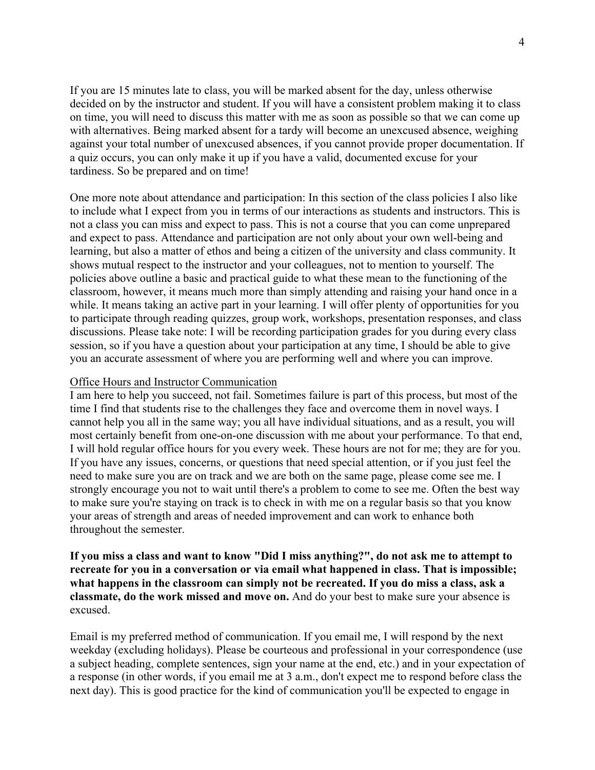If you are 15 minutes late to class, you will be marked absent for the day, unless otherwise decided on by the instructor and student. If you will have a consistent problem making it to class on time, you will need to discuss this matter with me as soon as possible so that we can come up with alternatives. Being marked absent for a tardy will become an unexcused absence, weighing against your total number of unexcused absences, if you cannot provide proper documentation. If a quiz occurs, you can only make it up if you have a valid, documented excuse for your tardiness. So be prepared and on time!

One more note about attendance and participation: In this section of the class policies I also like to include what I expect from you in terms of our interactions as students and instructors. This is not a class you can miss and expect to pass. This is not a course that you can come unprepared and expect to pass. Attendance and participation are not only about your own well-being and learning, but also a matter of ethos and being a citizen of the university and class community. It shows mutual respect to the instructor and your colleagues, not to mention to yourself. The policies above outline a basic and practical guide to what these mean to the functioning of the classroom, however, it means much more than simply attending and raising your hand once in a while. It means taking an active part in your learning. I will offer plenty of opportunities for you to participate through reading quizzes, group work, workshops, presentation responses, and class discussions. Please take note: I will be recording participation grades for you during every class session, so if you have a question about your participation at any time, I should be able to give you an accurate assessment of where you are performing well and where you can improve.

# Office Hours and Instructor Communication

I am here to help you succeed, not fail. Sometimes failure is part of this process, but most of the time I find that students rise to the challenges they face and overcome them in novel ways. I cannot help you all in the same way; you all have individual situations, and as a result, you will most certainly benefit from one-on-one discussion with me about your performance. To that end, I will hold regular office hours for you every week. These hours are not for me; they are for you. If you have any issues, concerns, or questions that need special attention, or if you just feel the need to make sure you are on track and we are both on the same page, please come see me. I strongly encourage you not to wait until there's a problem to come to see me. Often the best way to make sure you're staying on track is to check in with me on a regular basis so that you know your areas of strength and areas of needed improvement and can work to enhance both throughout the semester.

# **If you miss a class and want to know "Did I miss anything?", do not ask me to attempt to recreate for you in a conversation or via email what happened in class. That is impossible; what happens in the classroom can simply not be recreated. If you do miss a class, ask a classmate, do the work missed and move on.** And do your best to make sure your absence is excused.

Email is my preferred method of communication. If you email me, I will respond by the next weekday (excluding holidays). Please be courteous and professional in your correspondence (use a subject heading, complete sentences, sign your name at the end, etc.) and in your expectation of a response (in other words, if you email me at 3 a.m., don't expect me to respond before class the next day). This is good practice for the kind of communication you'll be expected to engage in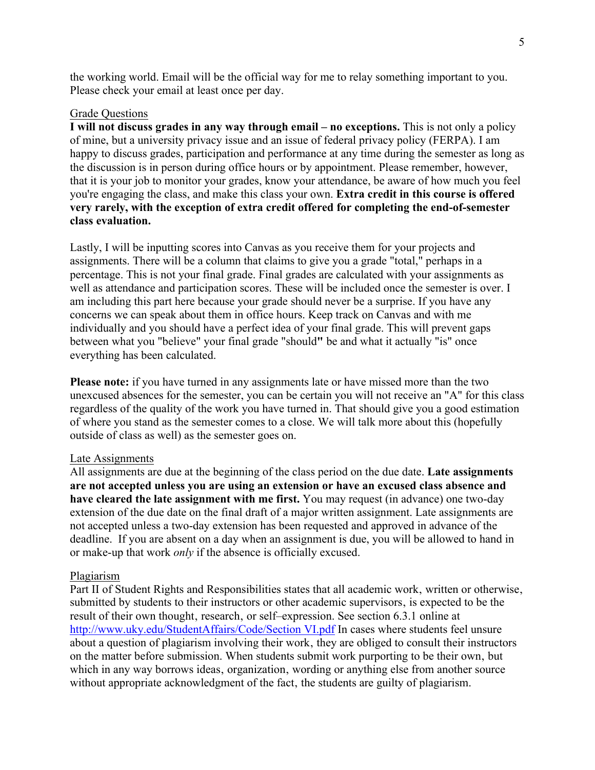the working world. Email will be the official way for me to relay something important to you. Please check your email at least once per day.

### Grade Questions

**I will not discuss grades in any way through email – no exceptions.** This is not only a policy of mine, but a university privacy issue and an issue of federal privacy policy (FERPA). I am happy to discuss grades, participation and performance at any time during the semester as long as the discussion is in person during office hours or by appointment. Please remember, however, that it is your job to monitor your grades, know your attendance, be aware of how much you feel you're engaging the class, and make this class your own. **Extra credit in this course is offered very rarely, with the exception of extra credit offered for completing the end-of-semester class evaluation.**

Lastly, I will be inputting scores into Canvas as you receive them for your projects and assignments. There will be a column that claims to give you a grade "total," perhaps in a percentage. This is not your final grade. Final grades are calculated with your assignments as well as attendance and participation scores. These will be included once the semester is over. I am including this part here because your grade should never be a surprise. If you have any concerns we can speak about them in office hours. Keep track on Canvas and with me individually and you should have a perfect idea of your final grade. This will prevent gaps between what you "believe" your final grade "should**"** be and what it actually "is" once everything has been calculated.

**Please note:** if you have turned in any assignments late or have missed more than the two unexcused absences for the semester, you can be certain you will not receive an "A" for this class regardless of the quality of the work you have turned in. That should give you a good estimation of where you stand as the semester comes to a close. We will talk more about this (hopefully outside of class as well) as the semester goes on.

#### Late Assignments

All assignments are due at the beginning of the class period on the due date. **Late assignments are not accepted unless you are using an extension or have an excused class absence and have cleared the late assignment with me first.** You may request (in advance) one two-day extension of the due date on the final draft of a major written assignment. Late assignments are not accepted unless a two-day extension has been requested and approved in advance of the deadline. If you are absent on a day when an assignment is due, you will be allowed to hand in or make-up that work *only* if the absence is officially excused.

#### Plagiarism

Part II of Student Rights and Responsibilities states that all academic work, written or otherwise, submitted by students to their instructors or other academic supervisors, is expected to be the result of their own thought, research, or self–expression. See section 6.3.1 online at http://www.uky.edu/StudentAffairs/Code/Section VI.pdf In cases where students feel unsure about a question of plagiarism involving their work, they are obliged to consult their instructors on the matter before submission. When students submit work purporting to be their own, but which in any way borrows ideas, organization, wording or anything else from another source without appropriate acknowledgment of the fact, the students are guilty of plagiarism.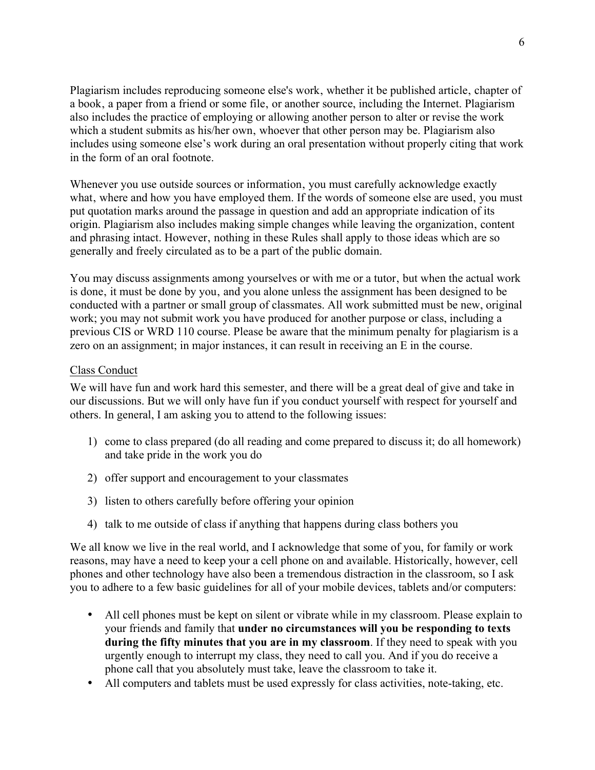Plagiarism includes reproducing someone else's work, whether it be published article, chapter of a book, a paper from a friend or some file, or another source, including the Internet. Plagiarism also includes the practice of employing or allowing another person to alter or revise the work which a student submits as his/her own, whoever that other person may be. Plagiarism also includes using someone else's work during an oral presentation without properly citing that work in the form of an oral footnote.

Whenever you use outside sources or information, you must carefully acknowledge exactly what, where and how you have employed them. If the words of someone else are used, you must put quotation marks around the passage in question and add an appropriate indication of its origin. Plagiarism also includes making simple changes while leaving the organization, content and phrasing intact. However, nothing in these Rules shall apply to those ideas which are so generally and freely circulated as to be a part of the public domain.

You may discuss assignments among yourselves or with me or a tutor, but when the actual work is done, it must be done by you, and you alone unless the assignment has been designed to be conducted with a partner or small group of classmates. All work submitted must be new, original work; you may not submit work you have produced for another purpose or class, including a previous CIS or WRD 110 course. Please be aware that the minimum penalty for plagiarism is a zero on an assignment; in major instances, it can result in receiving an E in the course.

# Class Conduct

We will have fun and work hard this semester, and there will be a great deal of give and take in our discussions. But we will only have fun if you conduct yourself with respect for yourself and others. In general, I am asking you to attend to the following issues:

- 1) come to class prepared (do all reading and come prepared to discuss it; do all homework) and take pride in the work you do
- 2) offer support and encouragement to your classmates
- 3) listen to others carefully before offering your opinion
- 4) talk to me outside of class if anything that happens during class bothers you

We all know we live in the real world, and I acknowledge that some of you, for family or work reasons, may have a need to keep your a cell phone on and available. Historically, however, cell phones and other technology have also been a tremendous distraction in the classroom, so I ask you to adhere to a few basic guidelines for all of your mobile devices, tablets and/or computers:

- All cell phones must be kept on silent or vibrate while in my classroom. Please explain to your friends and family that **under no circumstances will you be responding to texts during the fifty minutes that you are in my classroom**. If they need to speak with you urgently enough to interrupt my class, they need to call you. And if you do receive a phone call that you absolutely must take, leave the classroom to take it.
- All computers and tablets must be used expressly for class activities, note-taking, etc.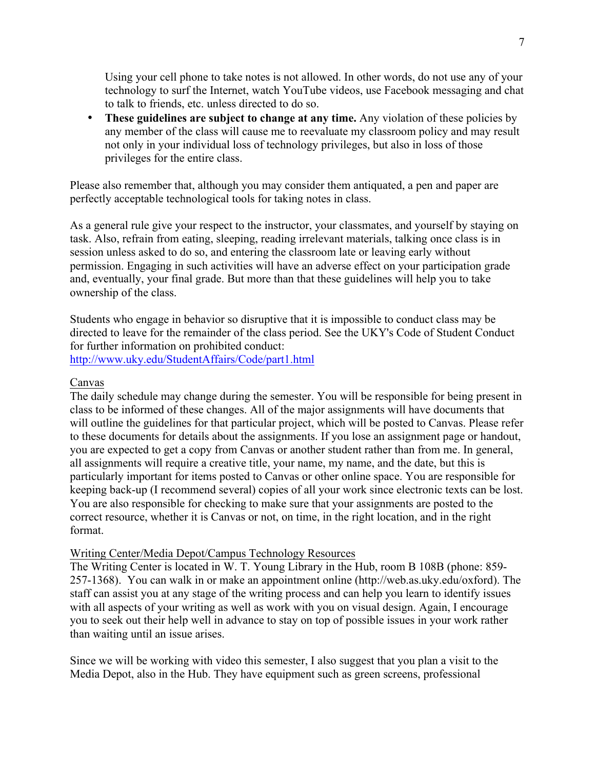Using your cell phone to take notes is not allowed. In other words, do not use any of your technology to surf the Internet, watch YouTube videos, use Facebook messaging and chat to talk to friends, etc. unless directed to do so.

• **These guidelines are subject to change at any time.** Any violation of these policies by any member of the class will cause me to reevaluate my classroom policy and may result not only in your individual loss of technology privileges, but also in loss of those privileges for the entire class.

Please also remember that, although you may consider them antiquated, a pen and paper are perfectly acceptable technological tools for taking notes in class.

As a general rule give your respect to the instructor, your classmates, and yourself by staying on task. Also, refrain from eating, sleeping, reading irrelevant materials, talking once class is in session unless asked to do so, and entering the classroom late or leaving early without permission. Engaging in such activities will have an adverse effect on your participation grade and, eventually, your final grade. But more than that these guidelines will help you to take ownership of the class.

Students who engage in behavior so disruptive that it is impossible to conduct class may be directed to leave for the remainder of the class period. See the UKY's Code of Student Conduct for further information on prohibited conduct:

http://www.uky.edu/StudentAffairs/Code/part1.html

# Canvas

The daily schedule may change during the semester. You will be responsible for being present in class to be informed of these changes. All of the major assignments will have documents that will outline the guidelines for that particular project, which will be posted to Canvas. Please refer to these documents for details about the assignments. If you lose an assignment page or handout, you are expected to get a copy from Canvas or another student rather than from me. In general, all assignments will require a creative title, your name, my name, and the date, but this is particularly important for items posted to Canvas or other online space. You are responsible for keeping back-up (I recommend several) copies of all your work since electronic texts can be lost. You are also responsible for checking to make sure that your assignments are posted to the correct resource, whether it is Canvas or not, on time, in the right location, and in the right format.

### Writing Center/Media Depot/Campus Technology Resources

The Writing Center is located in W. T. Young Library in the Hub, room B 108B (phone: 859- 257-1368). You can walk in or make an appointment online (http://web.as.uky.edu/oxford). The staff can assist you at any stage of the writing process and can help you learn to identify issues with all aspects of your writing as well as work with you on visual design. Again, I encourage you to seek out their help well in advance to stay on top of possible issues in your work rather than waiting until an issue arises.

Since we will be working with video this semester, I also suggest that you plan a visit to the Media Depot, also in the Hub. They have equipment such as green screens, professional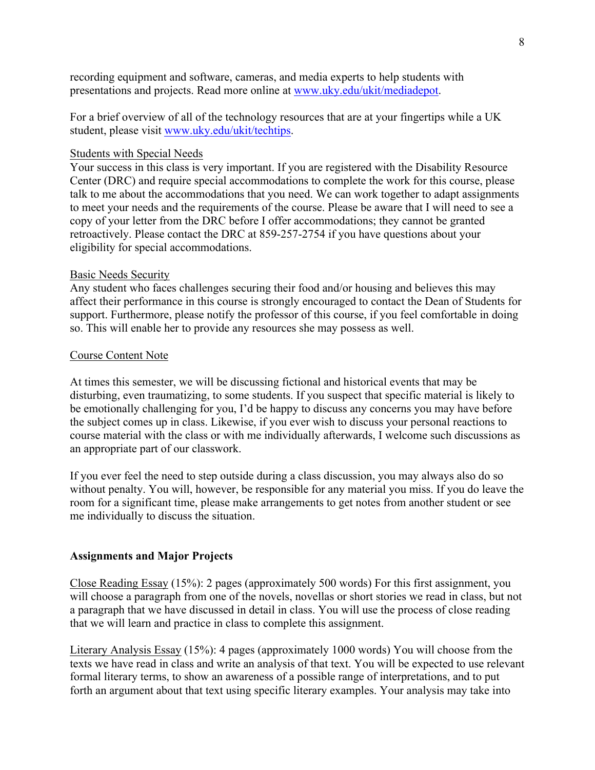recording equipment and software, cameras, and media experts to help students with presentations and projects. Read more online at www.uky.edu/ukit/mediadepot.

For a brief overview of all of the technology resources that are at your fingertips while a UK student, please visit www.uky.edu/ukit/techtips.

#### Students with Special Needs

Your success in this class is very important. If you are registered with the Disability Resource Center (DRC) and require special accommodations to complete the work for this course, please talk to me about the accommodations that you need. We can work together to adapt assignments to meet your needs and the requirements of the course. Please be aware that I will need to see a copy of your letter from the DRC before I offer accommodations; they cannot be granted retroactively. Please contact the DRC at 859-257-2754 if you have questions about your eligibility for special accommodations.

#### Basic Needs Security

Any student who faces challenges securing their food and/or housing and believes this may affect their performance in this course is strongly encouraged to contact the Dean of Students for support. Furthermore, please notify the professor of this course, if you feel comfortable in doing so. This will enable her to provide any resources she may possess as well.

### Course Content Note

At times this semester, we will be discussing fictional and historical events that may be disturbing, even traumatizing, to some students. If you suspect that specific material is likely to be emotionally challenging for you, I'd be happy to discuss any concerns you may have before the subject comes up in class. Likewise, if you ever wish to discuss your personal reactions to course material with the class or with me individually afterwards, I welcome such discussions as an appropriate part of our classwork.

If you ever feel the need to step outside during a class discussion, you may always also do so without penalty. You will, however, be responsible for any material you miss. If you do leave the room for a significant time, please make arrangements to get notes from another student or see me individually to discuss the situation.

# **Assignments and Major Projects**

Close Reading Essay (15%): 2 pages (approximately 500 words) For this first assignment, you will choose a paragraph from one of the novels, novellas or short stories we read in class, but not a paragraph that we have discussed in detail in class. You will use the process of close reading that we will learn and practice in class to complete this assignment.

Literary Analysis Essay (15%): 4 pages (approximately 1000 words) You will choose from the texts we have read in class and write an analysis of that text. You will be expected to use relevant formal literary terms, to show an awareness of a possible range of interpretations, and to put forth an argument about that text using specific literary examples. Your analysis may take into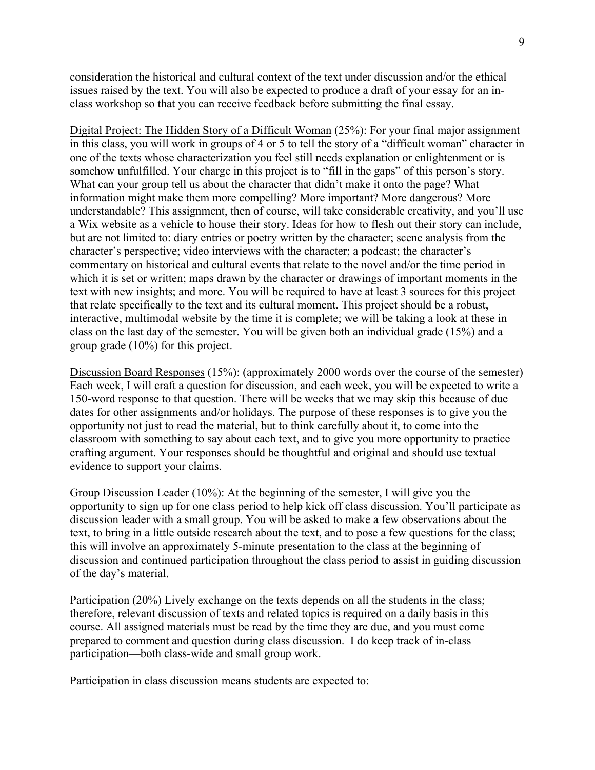consideration the historical and cultural context of the text under discussion and/or the ethical issues raised by the text. You will also be expected to produce a draft of your essay for an inclass workshop so that you can receive feedback before submitting the final essay.

Digital Project: The Hidden Story of a Difficult Woman (25%): For your final major assignment in this class, you will work in groups of 4 or 5 to tell the story of a "difficult woman" character in one of the texts whose characterization you feel still needs explanation or enlightenment or is somehow unfulfilled. Your charge in this project is to "fill in the gaps" of this person's story. What can your group tell us about the character that didn't make it onto the page? What information might make them more compelling? More important? More dangerous? More understandable? This assignment, then of course, will take considerable creativity, and you'll use a Wix website as a vehicle to house their story. Ideas for how to flesh out their story can include, but are not limited to: diary entries or poetry written by the character; scene analysis from the character's perspective; video interviews with the character; a podcast; the character's commentary on historical and cultural events that relate to the novel and/or the time period in which it is set or written; maps drawn by the character or drawings of important moments in the text with new insights; and more. You will be required to have at least 3 sources for this project that relate specifically to the text and its cultural moment. This project should be a robust, interactive, multimodal website by the time it is complete; we will be taking a look at these in class on the last day of the semester. You will be given both an individual grade (15%) and a group grade (10%) for this project.

Discussion Board Responses (15%): (approximately 2000 words over the course of the semester) Each week, I will craft a question for discussion, and each week, you will be expected to write a 150-word response to that question. There will be weeks that we may skip this because of due dates for other assignments and/or holidays. The purpose of these responses is to give you the opportunity not just to read the material, but to think carefully about it, to come into the classroom with something to say about each text, and to give you more opportunity to practice crafting argument. Your responses should be thoughtful and original and should use textual evidence to support your claims.

Group Discussion Leader (10%): At the beginning of the semester, I will give you the opportunity to sign up for one class period to help kick off class discussion. You'll participate as discussion leader with a small group. You will be asked to make a few observations about the text, to bring in a little outside research about the text, and to pose a few questions for the class; this will involve an approximately 5-minute presentation to the class at the beginning of discussion and continued participation throughout the class period to assist in guiding discussion of the day's material.

Participation (20%) Lively exchange on the texts depends on all the students in the class; therefore, relevant discussion of texts and related topics is required on a daily basis in this course. All assigned materials must be read by the time they are due, and you must come prepared to comment and question during class discussion. I do keep track of in-class participation—both class-wide and small group work.

Participation in class discussion means students are expected to: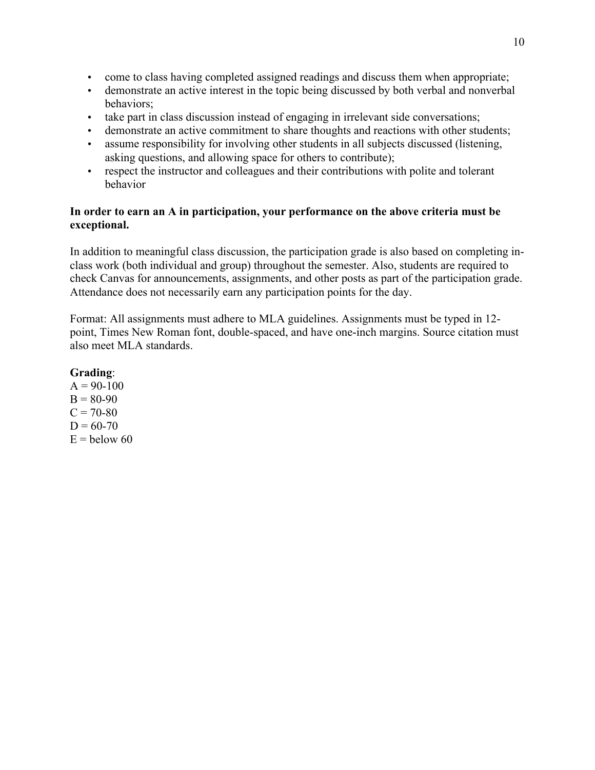- come to class having completed assigned readings and discuss them when appropriate;
- demonstrate an active interest in the topic being discussed by both verbal and nonverbal behaviors;
- take part in class discussion instead of engaging in irrelevant side conversations;
- demonstrate an active commitment to share thoughts and reactions with other students;
- assume responsibility for involving other students in all subjects discussed (listening, asking questions, and allowing space for others to contribute);
- respect the instructor and colleagues and their contributions with polite and tolerant behavior

# **In order to earn an A in participation, your performance on the above criteria must be exceptional.**

In addition to meaningful class discussion, the participation grade is also based on completing inclass work (both individual and group) throughout the semester. Also, students are required to check Canvas for announcements, assignments, and other posts as part of the participation grade. Attendance does not necessarily earn any participation points for the day.

Format: All assignments must adhere to MLA guidelines. Assignments must be typed in 12 point, Times New Roman font, double-spaced, and have one-inch margins. Source citation must also meet MLA standards.

# **Grading**:

 $A = 90-100$  $B = 80-90$  $C = 70 - 80$  $D = 60 - 70$  $E =$  below 60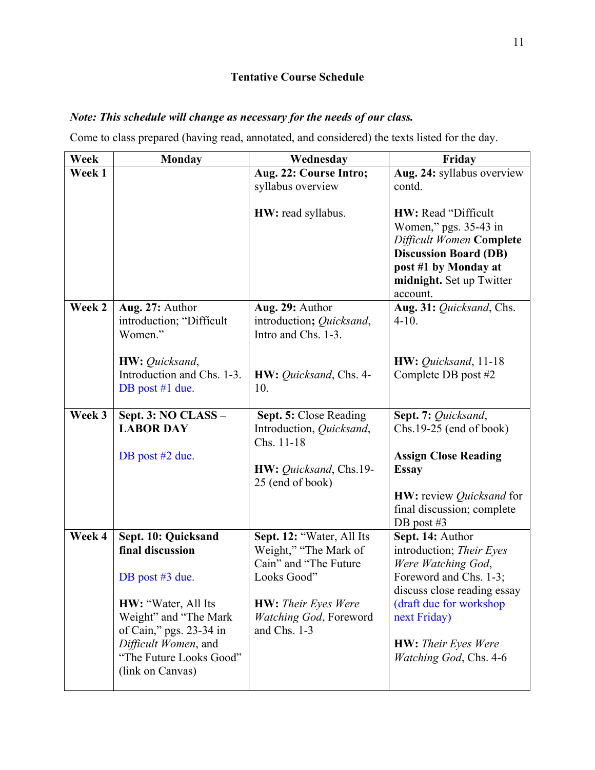# **Tentative Course Schedule**

# *Note: This schedule will change as necessary for the needs of our class.*

Come to class prepared (having read, annotated, and considered) the texts listed for the day.

| Week   | <b>Monday</b>                                                                                                                                  | Wednesday                                                                                  | Friday                                                                                                                                                                           |
|--------|------------------------------------------------------------------------------------------------------------------------------------------------|--------------------------------------------------------------------------------------------|----------------------------------------------------------------------------------------------------------------------------------------------------------------------------------|
| Week 1 |                                                                                                                                                | Aug. 22: Course Intro;<br>syllabus overview                                                | Aug. 24: syllabus overview<br>contd.                                                                                                                                             |
|        |                                                                                                                                                | HW: read syllabus.                                                                         | <b>HW:</b> Read "Difficult"<br>Women," pgs. 35-43 in<br>Difficult Women Complete<br><b>Discussion Board (DB)</b><br>post #1 by Monday at<br>midnight. Set up Twitter<br>account. |
| Week 2 | Aug. 27: Author<br>introduction; "Difficult<br>Women."                                                                                         | Aug. 29: Author<br>introduction; Quicksand,<br>Intro and Chs. 1-3.                         | Aug. 31: Quicksand, Chs.<br>$4 - 10.$                                                                                                                                            |
|        | HW: Quicksand,<br>Introduction and Chs. 1-3.<br>DB post #1 due.                                                                                | HW: Quicksand, Chs. 4-<br>10.                                                              | $HW: Quicksand, 11-18$<br>Complete DB post #2                                                                                                                                    |
| Week 3 | Sept. 3: NO CLASS -<br><b>LABOR DAY</b>                                                                                                        | Sept. 5: Close Reading<br>Introduction, Quicksand,<br>Chs. 11-18                           | Sept. 7: Quicksand,<br>$Chs.19-25$ (end of book)                                                                                                                                 |
|        | DB post $#2$ due.                                                                                                                              | HW: Quicksand, Chs.19-<br>25 (end of book)                                                 | <b>Assign Close Reading</b><br><b>Essay</b><br><b>HW:</b> review <i>Quicksand</i> for<br>final discussion; complete<br>DB post $#3$                                              |
| Week 4 | Sept. 10: Quicksand<br>final discussion<br>DB post #3 due.                                                                                     | Sept. 12: "Water, All Its<br>Weight," "The Mark of<br>Cain" and "The Future<br>Looks Good" | Sept. 14: Author<br>introduction; Their Eyes<br>Were Watching God,<br>Foreword and Chs. 1-3;<br>discuss close reading essay                                                      |
|        | HW: "Water, All Its<br>Weight" and "The Mark<br>of Cain," pgs. 23-34 in<br>Difficult Women, and<br>"The Future Looks Good"<br>(link on Canvas) | <b>HW:</b> Their Eyes Were<br>Watching God, Foreword<br>and Chs. 1-3                       | (draft due for workshop<br>next Friday)<br><b>HW:</b> Their Eyes Were<br>Watching God, Chs. 4-6                                                                                  |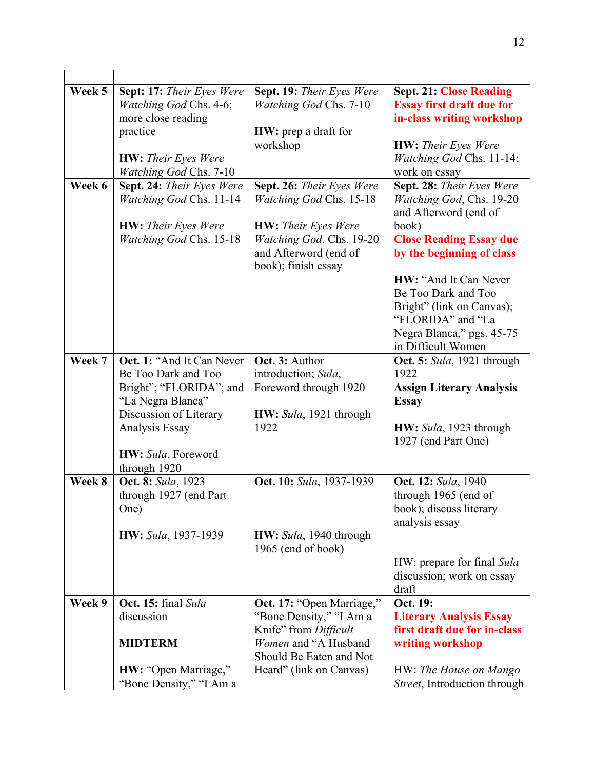| Week 5<br>Week 6 | Sept: 17: Their Eyes Were<br>Watching God Chs. 4-6;<br>more close reading<br>practice<br><b>HW:</b> Their Eyes Were<br><b>Watching God Chs. 7-10</b><br>Sept. 24: Their Eyes Were<br><b>Watching God Chs. 11-14</b><br><b>HW:</b> Their Eyes Were<br><b>Watching God Chs. 15-18</b> | Sept. 19: Their Eyes Were<br><b>Watching God Chs. 7-10</b><br><b>HW</b> : prep a draft for<br>workshop<br>Sept. 26: Their Eyes Were<br><b>Watching God Chs. 15-18</b><br><b>HW:</b> Their Eyes Were<br>Watching God, Chs. 19-20<br>and Afterword (end of<br>book); finish essay | <b>Sept. 21: Close Reading</b><br><b>Essay first draft due for</b><br>in-class writing workshop<br><b>HW:</b> Their Eyes Were<br>Watching God Chs. 11-14;<br>work on essay<br>Sept. 28: Their Eyes Were<br>Watching God, Chs. 19-20<br>and Afterword (end of<br>book)<br><b>Close Reading Essay due</b><br>by the beginning of class |
|------------------|-------------------------------------------------------------------------------------------------------------------------------------------------------------------------------------------------------------------------------------------------------------------------------------|---------------------------------------------------------------------------------------------------------------------------------------------------------------------------------------------------------------------------------------------------------------------------------|--------------------------------------------------------------------------------------------------------------------------------------------------------------------------------------------------------------------------------------------------------------------------------------------------------------------------------------|
|                  |                                                                                                                                                                                                                                                                                     |                                                                                                                                                                                                                                                                                 | HW: "And It Can Never<br>Be Too Dark and Too<br>Bright" (link on Canvas);<br>"FLORIDA" and "La<br>Negra Blanca," pgs. 45-75<br>in Difficult Women                                                                                                                                                                                    |
| Week 7           | Oct. 1: "And It Can Never<br>Be Too Dark and Too<br>Bright"; "FLORIDA"; and<br>"La Negra Blanca"<br>Discussion of Literary<br>Analysis Essay<br>HW: Sula, Foreword<br>through 1920                                                                                                  | Oct. 3: Author<br>introduction; Sula,<br>Foreword through 1920<br>HW: Sula, 1921 through<br>1922                                                                                                                                                                                | Oct. 5: Sula, 1921 through<br>1922<br><b>Assign Literary Analysis</b><br><b>Essay</b><br>HW: Sula, 1923 through<br>1927 (end Part One)                                                                                                                                                                                               |
| Week 8           | Oct. 8: Sula, 1923<br>through 1927 (end Part<br>One)<br><b>HW</b> : Sula, 1937-1939                                                                                                                                                                                                 | Oct. 10: Sula, 1937-1939<br>$HW: Sula, 1940$ through<br>1965 (end of book)                                                                                                                                                                                                      | Oct. 12: Sula, 1940<br>through 1965 (end of<br>book); discuss literary<br>analysis essay<br>HW: prepare for final Sula<br>discussion; work on essay<br>draft                                                                                                                                                                         |
| Week 9           | Oct. 15: final Sula<br>discussion<br><b>MIDTERM</b><br>HW: "Open Marriage,"<br>"Bone Density," "I Am a                                                                                                                                                                              | Oct. 17: "Open Marriage,"<br>"Bone Density," "I Am a<br>Knife" from Difficult<br>Women and "A Husband<br>Should Be Eaten and Not<br>Heard" (link on Canvas)                                                                                                                     | Oct. 19:<br><b>Literary Analysis Essay</b><br>first draft due for in-class<br>writing workshop<br>HW: The House on Mango<br>Street, Introduction through                                                                                                                                                                             |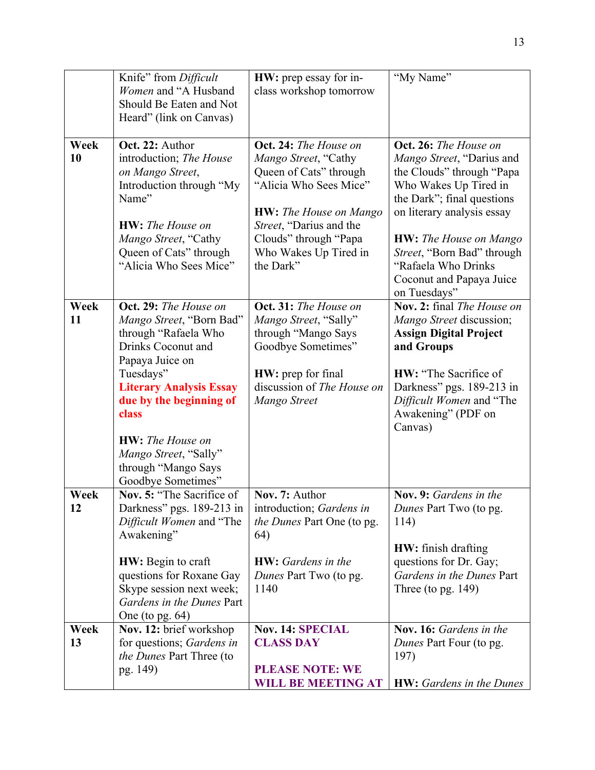|            | Knife" from Difficult<br>Women and "A Husband<br>Should Be Eaten and Not<br>Heard" (link on Canvas)                                                                                                                                                                                                     | HW: prep essay for in-<br>class workshop tomorrow                                                                                                                                                                            | "My Name"                                                                                                                                                                                                                                                                                              |
|------------|---------------------------------------------------------------------------------------------------------------------------------------------------------------------------------------------------------------------------------------------------------------------------------------------------------|------------------------------------------------------------------------------------------------------------------------------------------------------------------------------------------------------------------------------|--------------------------------------------------------------------------------------------------------------------------------------------------------------------------------------------------------------------------------------------------------------------------------------------------------|
| Week<br>10 | Oct. 22: Author<br>introduction; The House<br>on Mango Street,<br>Introduction through "My<br>Name"<br><b>HW</b> : The House on<br>Mango Street, "Cathy<br>Queen of Cats" through<br>"Alicia Who Sees Mice"                                                                                             | Oct. 24: The House on<br>Mango Street, "Cathy<br>Queen of Cats" through<br>"Alicia Who Sees Mice"<br><b>HW:</b> The House on Mango<br>Street, "Darius and the<br>Clouds" through "Papa<br>Who Wakes Up Tired in<br>the Dark" | Oct. 26: The House on<br>Mango Street, "Darius and<br>the Clouds" through "Papa<br>Who Wakes Up Tired in<br>the Dark"; final questions<br>on literary analysis essay<br><b>HW:</b> The House on Mango<br>Street, "Born Bad" through<br>"Rafaela Who Drinks<br>Coconut and Papaya Juice<br>on Tuesdays" |
| Week<br>11 | Oct. 29: The House on<br>Mango Street, "Born Bad"<br>through "Rafaela Who<br>Drinks Coconut and<br>Papaya Juice on<br>Tuesdays"<br><b>Literary Analysis Essay</b><br>due by the beginning of<br>class<br><b>HW</b> : The House on<br>Mango Street, "Sally"<br>through "Mango Says<br>Goodbye Sometimes" | Oct. 31: The House on<br>Mango Street, "Sally"<br>through "Mango Says<br>Goodbye Sometimes"<br><b>HW</b> : prep for final<br>discussion of The House on<br>Mango Street                                                      | Nov. 2: final The House on<br>Mango Street discussion;<br><b>Assign Digital Project</b><br>and Groups<br><b>HW:</b> "The Sacrifice of<br>Darkness" pgs. 189-213 in<br>Difficult Women and "The<br>Awakening" (PDF on<br>Canvas)                                                                        |
| Week<br>12 | Nov. 5: "The Sacrifice of<br>Darkness" pgs. 189-213 in<br>Difficult Women and "The<br>Awakening"<br><b>HW:</b> Begin to craft<br>questions for Roxane Gay<br>Skype session next week;<br>Gardens in the Dunes Part<br>One (to pg. $64$ )                                                                | Nov. 7: Author<br>introduction; Gardens in<br><i>the Dunes Part One (to pg.</i><br>64)<br><b>HW</b> : Gardens in the<br>Dunes Part Two (to pg.<br>1140                                                                       | Nov. 9: Gardens in the<br>Dunes Part Two (to pg.<br>114)<br><b>HW</b> : finish drafting<br>questions for Dr. Gay;<br>Gardens in the Dunes Part<br>Three (to pg. $149$ )                                                                                                                                |
| Week<br>13 | Nov. 12: brief workshop<br>for questions; Gardens in<br>the Dunes Part Three (to<br>pg. 149)                                                                                                                                                                                                            | <b>Nov. 14: SPECIAL</b><br><b>CLASS DAY</b><br><b>PLEASE NOTE: WE</b><br><b>WILL BE MEETING AT</b>                                                                                                                           | Nov. 16: Gardens in the<br>Dunes Part Four (to pg.<br>197)<br><b>HW:</b> Gardens in the Dunes                                                                                                                                                                                                          |